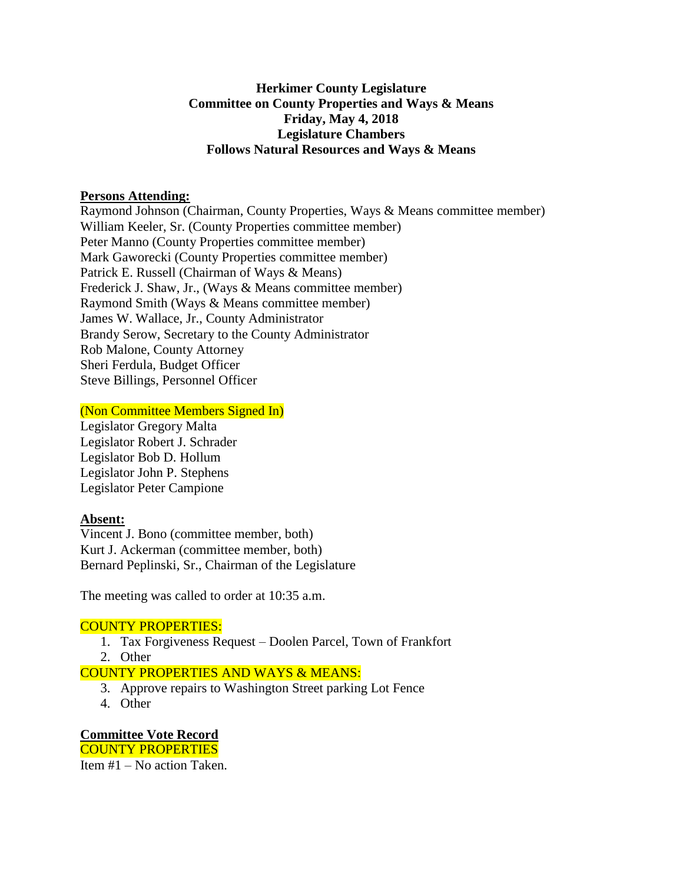## **Herkimer County Legislature Committee on County Properties and Ways & Means Friday, May 4, 2018 Legislature Chambers Follows Natural Resources and Ways & Means**

#### **Persons Attending:**

Raymond Johnson (Chairman, County Properties, Ways & Means committee member) William Keeler, Sr. (County Properties committee member) Peter Manno (County Properties committee member) Mark Gaworecki (County Properties committee member) Patrick E. Russell (Chairman of Ways & Means) Frederick J. Shaw, Jr., (Ways & Means committee member) Raymond Smith (Ways & Means committee member) James W. Wallace, Jr., County Administrator Brandy Serow, Secretary to the County Administrator Rob Malone, County Attorney Sheri Ferdula, Budget Officer Steve Billings, Personnel Officer

(Non Committee Members Signed In)

Legislator Gregory Malta Legislator Robert J. Schrader Legislator Bob D. Hollum Legislator John P. Stephens Legislator Peter Campione

## **Absent:**

Vincent J. Bono (committee member, both) Kurt J. Ackerman (committee member, both) Bernard Peplinski, Sr., Chairman of the Legislature

The meeting was called to order at 10:35 a.m.

## COUNTY PROPERTIES:

- 1. Tax Forgiveness Request Doolen Parcel, Town of Frankfort
- 2. Other

## COUNTY PROPERTIES AND WAYS & MEANS:

- 3. Approve repairs to Washington Street parking Lot Fence
- 4. Other

**Committee Vote Record** COUNTY PROPERTIES Item #1 – No action Taken.